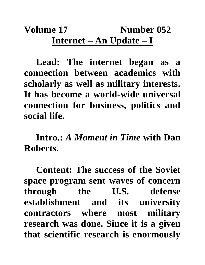## **Volume 17 Number 052 Internet – An Update – I**

**Lead: The internet began as a connection between academics with scholarly as well as military interests. It has become a world-wide universal connection for business, politics and social life.**

**Intro.:** *A Moment in Time* **with Dan Roberts.**

**Content: The success of the Soviet space program sent waves of concern through the U.S. defense establishment and its university contractors where most military research was done. Since it is a given that scientific research is enormously**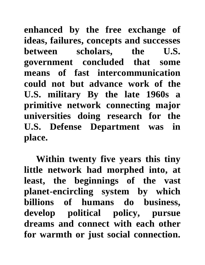**enhanced by the free exchange of ideas, failures, concepts and successes between scholars, the U.S. government concluded that some means of fast intercommunication could not but advance work of the U.S. military By the late 1960s a primitive network connecting major universities doing research for the U.S. Defense Department was in place.** 

**Within twenty five years this tiny little network had morphed into, at least, the beginnings of the vast planet-encircling system by which billions of humans do business, develop political policy, pursue dreams and connect with each other for warmth or just social connection.**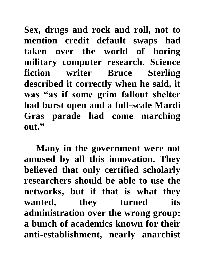**Sex, drugs and rock and roll, not to mention credit default swaps had taken over the world of boring military computer research. Science fiction writer Bruce Sterling described it correctly when he said, it was "as if some grim fallout shelter had burst open and a full-scale Mardi Gras parade had come marching out."**

**Many in the government were not amused by all this innovation. They believed that only certified scholarly researchers should be able to use the networks, but if that is what they wanted, they turned its administration over the wrong group: a bunch of academics known for their anti-establishment, nearly anarchist**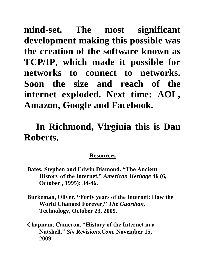**mind-set. The most significant development making this possible was the creation of the software known as TCP/IP, which made it possible for networks to connect to networks. Soon the size and reach of the internet exploded. Next time: AOL, Amazon, Google and Facebook.** 

## **In Richmond, Virginia this is Dan Roberts.**

## **Resources**

- **Bates, Stephen and Edwin Diamond. "The Ancient History of the Internet,"** *American Heritage* **46 (6, October , 1995): 34-46.**
- **Burkeman, Oliver. "Forty years of the Internet: How the World Changed Forever,"** *The Guardian,* **Technology, October 23, 2009.**
- **Chapman, Cameron. "History of the Internet in a Nutshell,"** *Six Revisions.Com.* **November 15, 2009.**